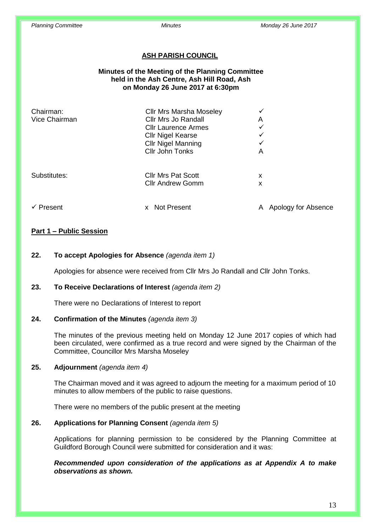#### **ASH PARISH COUNCIL**

## **Minutes of the Meeting of the Planning Committee held in the Ash Centre, Ash Hill Road, Ash on Monday 26 June 2017 at 6:30pm**

| Chairman:<br>Vice Chairman | <b>Cllr Mrs Marsha Moseley</b><br><b>Cllr Mrs Jo Randall</b><br><b>Cllr Laurence Armes</b><br><b>Cllr Nigel Kearse</b><br><b>Cllr Nigel Manning</b><br>Cllr John Tonks | ✓<br>A<br>✓<br>✓<br>✓<br>A |
|----------------------------|------------------------------------------------------------------------------------------------------------------------------------------------------------------------|----------------------------|
| Substitutes:               | <b>Cllr Mrs Pat Scott</b><br><b>Cllr Andrew Gomm</b>                                                                                                                   | x<br>х                     |
| Present                    | <b>Not Present</b>                                                                                                                                                     | Apology for Absence        |

# **Part 1 – Public Session**

# **22. To accept Apologies for Absence** *(agenda item 1)*

Apologies for absence were received from Cllr Mrs Jo Randall and Cllr John Tonks.

# **23. To Receive Declarations of Interest** *(agenda item 2)*

There were no Declarations of Interest to report

#### **24. Confirmation of the Minutes** *(agenda item 3)*

The minutes of the previous meeting held on Monday 12 June 2017 copies of which had been circulated, were confirmed as a true record and were signed by the Chairman of the Committee, Councillor Mrs Marsha Moseley

#### **25. Adjournment** *(agenda item 4)*

The Chairman moved and it was agreed to adjourn the meeting for a maximum period of 10 minutes to allow members of the public to raise questions.

There were no members of the public present at the meeting

## **26. Applications for Planning Consent** *(agenda item 5)*

Applications for planning permission to be considered by the Planning Committee at Guildford Borough Council were submitted for consideration and it was:

*Recommended upon consideration of the applications as at Appendix A to make observations as shown.*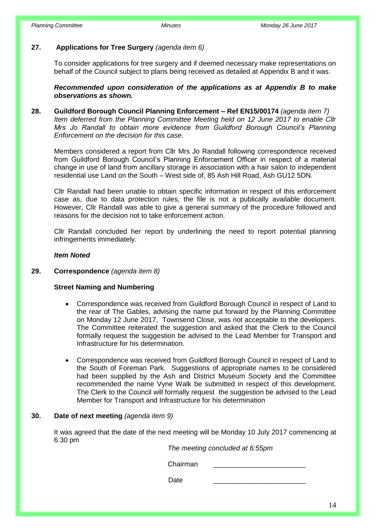# **27. Applications for Tree Surgery** *(agenda item 6)*

To consider applications for tree surgery and if deemed necessary make representations on behalf of the Council subject to plans being received as detailed at Appendix B and it was.

*Recommended upon consideration of the applications as at Appendix B to make observations as shown.*

**28. Guildford Borough Council Planning Enforcement – Ref EN15/00174** *(agenda item 7) Item deferred from the Planning Committee Meeting held on 12 June 2017 to enable Cllr Mrs Jo Randall to obtain more evidence from Guildford Borough Council's Planning Enforcement on the decision for this case.*

Members considered a report from Cllr Mrs Jo Randall following correspondence received from Guildford Borough Council's Planning Enforcement Officer in respect of a material change in use of land from ancillary storage in association with a hair salon to independent residential use Land on the South – West side of, 85 Ash Hill Road, Ash GU12 5DN.

Cllr Randall had been unable to obtain specific information in respect of this enforcement case as, due to data protection rules, the file is not a publically available document. However, Cllr Randall was able to give a general summary of the procedure followed and reasons for the decision not to take enforcement action.

Cllr Randall concluded her report by underlining the need to report potential planning infringements immediately.

#### *Item Noted*

## **29. Correspondence** *(agenda item 8)*

## **Street Naming and Numbering**

- Correspondence was received from Guildford Borough Council in respect of Land to the rear of The Gables, advising the name put forward by the Planning Committee on Monday 12 June 2017, Townsend Close, was not acceptable to the developers. The Committee reiterated the suggestion and asked that the Clerk to the Council formally request the suggestion be advised to the Lead Member for Transport and Infrastructure for his determination.
- Correspondence was received from Guildford Borough Council in respect of Land to the South of Foreman Park. Suggestions of appropriate names to be considered had been supplied by the Ash and District Museum Society and the Committee recommended the name Vyne Walk be submitted in respect of this development. The Clerk to the Council will formally request the suggestion be advised to the Lead Member for Transport and Infrastructure for his determination

## **30. Date of next meeting** *(agenda item 9)*

It was agreed that the date of the next meeting will be Monday 10 July 2017 commencing at 6:30 pm

*The meeting concluded at 6:55pm*

Chairman \_\_\_\_\_\_\_\_\_\_\_\_\_\_\_\_\_\_\_\_\_\_\_\_

Date \_\_\_\_\_\_\_\_\_\_\_\_\_\_\_\_\_\_\_\_\_\_\_\_

14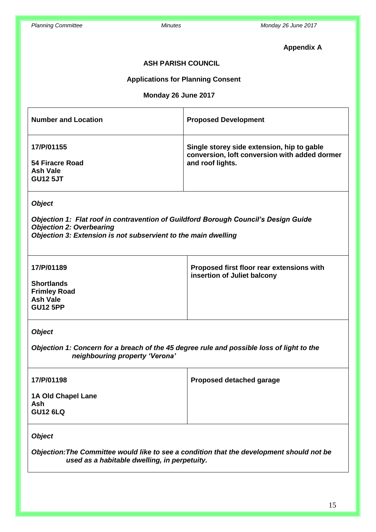# **Appendix A**

# **ASH PARISH COUNCIL**

# **Applications for Planning Consent**

## **Monday 26 June 2017**

| <b>Number and Location</b> | <b>Proposed Development</b>                                                                 |
|----------------------------|---------------------------------------------------------------------------------------------|
| 17/P/01155                 | Single storey side extension, hip to gable<br>conversion, loft conversion with added dormer |
| 54 Firacre Road            | and roof lights.                                                                            |
| <b>Ash Vale</b>            |                                                                                             |
| <b>GU12 5JT</b>            |                                                                                             |
|                            |                                                                                             |

## *Object*

*Objection 1: Flat roof in contravention of Guildford Borough Council's Design Guide Objection 2: Overbearing Objection 3: Extension is not subservient to the main dwelling*

| 17/P/01189                                                                     | Proposed first floor rear extensions with<br>insertion of Juliet balcony |
|--------------------------------------------------------------------------------|--------------------------------------------------------------------------|
| <b>Shortlands</b><br><b>Frimley Road</b><br><b>Ash Vale</b><br><b>GU12 5PP</b> |                                                                          |

## *Object*

*Objection 1: Concern for a breach of the 45 degree rule and possible loss of light to the neighbouring property 'Verona'*

| 17/P/01198                                          | Proposed detached garage |
|-----------------------------------------------------|--------------------------|
| <b>1A Old Chapel Lane</b><br>Ash<br><b>GU12 6LQ</b> |                          |

*Object*

*Objection:The Committee would like to see a condition that the development should not be used as a habitable dwelling, in perpetuity.*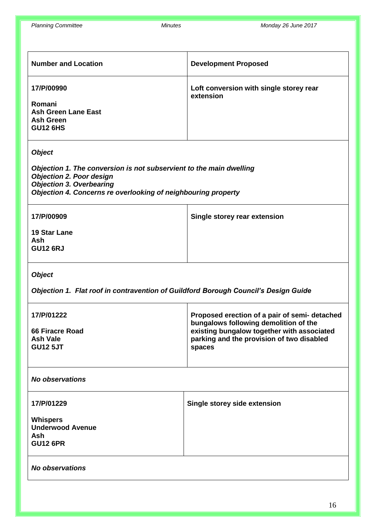| <b>Number and Location</b>                                                                | <b>Development Proposed</b>                          |
|-------------------------------------------------------------------------------------------|------------------------------------------------------|
| 17/P/00990<br>Romani<br><b>Ash Green Lane East</b><br><b>Ash Green</b><br><b>GU12 6HS</b> | Loft conversion with single storey rear<br>extension |
|                                                                                           |                                                      |

*Object*

*Objection 1. The conversion is not subservient to the main dwelling Objection 2. Poor design Objection 3. Overbearing Objection 4. Concerns re overlooking of neighbouring property*

| 17/P/00909                             | Single storey rear extension |
|----------------------------------------|------------------------------|
| 19 Star Lane<br>Ash<br><b>GU12 6RJ</b> |                              |

*Object*

*Objection 1. Flat roof in contravention of Guildford Borough Council's Design Guide*

| 17/P/01222      | Proposed erection of a pair of semi- detached                                       |
|-----------------|-------------------------------------------------------------------------------------|
| 66 Firacre Road | bungalows following demolition of the<br>existing bungalow together with associated |
| <b>Ash Vale</b> | parking and the provision of two disabled                                           |
| <b>GU12 5JT</b> | spaces                                                                              |
|                 |                                                                                     |

*No observations*

| 17/P/01229                                                           | Single storey side extension |
|----------------------------------------------------------------------|------------------------------|
| <b>Whispers</b><br><b>Underwood Avenue</b><br>Ash<br><b>GU12 6PR</b> |                              |

| <b>No observations</b> |  |
|------------------------|--|
|                        |  |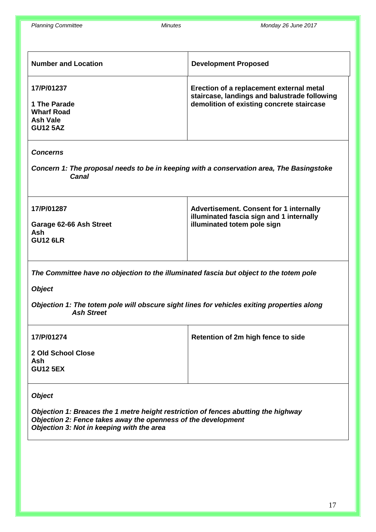| <b>Number and Location</b> | <b>Development Proposed</b>                                                              |
|----------------------------|------------------------------------------------------------------------------------------|
| 17/P/01237                 | Erection of a replacement external metal<br>staircase, landings and balustrade following |
| 1 The Parade               | demolition of existing concrete staircase                                                |
| <b>Wharf Road</b>          |                                                                                          |
| <b>Ash Vale</b>            |                                                                                          |
| <b>GU12 5AZ</b>            |                                                                                          |
|                            |                                                                                          |

#### *Concerns*

*Concern 1: The proposal needs to be in keeping with a conservation area, The Basingstoke Canal*

| 17/P/01287                                        | <b>Advertisement. Consent for 1 internally</b><br>illuminated fascia sign and 1 internally |
|---------------------------------------------------|--------------------------------------------------------------------------------------------|
| Garage 62-66 Ash Street<br>Ash<br><b>GU12 6LR</b> | illuminated totem pole sign                                                                |

*The Committee have no objection to the illuminated fascia but object to the totem pole*

*Object*

*Objection 1: The totem pole will obscure sight lines for vehicles exiting properties along Ash Street*

| 17/P/01274                                   | Retention of 2m high fence to side |
|----------------------------------------------|------------------------------------|
| 2 Old School Close<br>Ash<br><b>GU12 5EX</b> |                                    |

#### *Object*

*Objection 1: Breaces the 1 metre height restriction of fences abutting the highway Objection 2: Fence takes away the openness of the development Objection 3: Not in keeping with the area*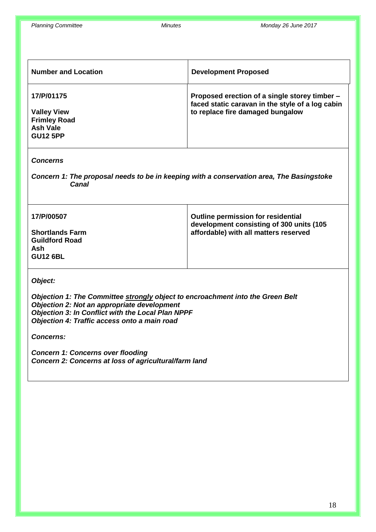| <b>Number and Location</b>                                                                    | <b>Development Proposed</b>                                                                                                           |
|-----------------------------------------------------------------------------------------------|---------------------------------------------------------------------------------------------------------------------------------------|
| 17/P/01175<br><b>Valley View</b><br><b>Frimley Road</b><br><b>Ash Vale</b><br><b>GU12 5PP</b> | Proposed erection of a single storey timber -<br>faced static caravan in the style of a log cabin<br>to replace fire damaged bungalow |

*Concerns*

*Concern 1: The proposal needs to be in keeping with a conservation area, The Basingstoke Canal*

| 17/P/00507                                                                | Outline permission for residential<br>development consisting of 300 units (105 |
|---------------------------------------------------------------------------|--------------------------------------------------------------------------------|
| <b>Shortlands Farm</b><br><b>Guildford Road</b><br>Ash<br><b>GU12 6BL</b> | affordable) with all matters reserved                                          |

*Object:*

*Objection 1: The Committee strongly object to encroachment into the Green Belt Objection 2: Not an appropriate development Objection 3: In Conflict with the Local Plan NPPF Objection 4: Traffic access onto a main road*

*Concerns:*

*Concern 1: Concerns over flooding Concern 2: Concerns at loss of agricultural/farm land*